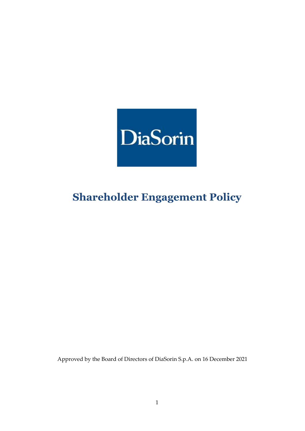

# **Shareholder Engagement Policy**

Approved by the Board of Directors of DiaSorin S.p.A. on 16 December 2021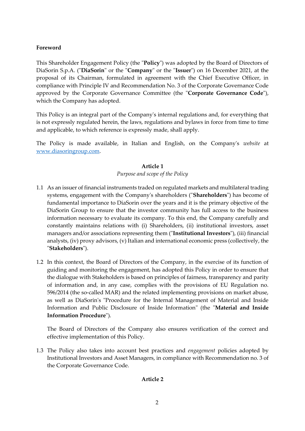## **Foreword**

This Shareholder Engagement Policy (the "**Policy**") was adopted by the Board of Directors of DiaSorin S.p.A. ("**DiaSorin**" or the "**Company**" or the "**Issuer**") on 16 December 2021, at the proposal of its Chairman, formulated in agreement with the Chief Executive Officer, in compliance with Principle IV and Recommendation No. 3 of the Corporate Governance Code approved by the Corporate Governance Committee (the "**Corporate Governance Code**"), which the Company has adopted.

This Policy is an integral part of the Company's internal regulations and, for everything that is not expressly regulated herein, the laws, regulations and bylaws in force from time to time and applicable, to which reference is expressly made, shall apply.

The Policy is made available, in Italian and English, on the Company's *website* at [www.diasoringroup.com.](http://www.diasoringroup.com/)

## **Article 1**

## *Purpose and scope of the Policy*

- 1.1 As an issuer of financial instruments traded on regulated markets and multilateral trading systems, engagement with the Company's shareholders ("**Shareholders**") has become of fundamental importance to DiaSorin over the years and it is the primary objective of the DiaSorin Group to ensure that the investor community has full access to the business information necessary to evaluate its company. To this end, the Company carefully and constantly maintains relations with (i) Shareholders, (ii) institutional investors, asset managers and/or associations representing them ("**Institutional Investors**"), (iii) financial analysts, (iv) proxy advisors, (v) Italian and international economic press (collectively, the "**Stakeholders**").
- 1.2 In this context, the Board of Directors of the Company, in the exercise of its function of guiding and monitoring the engagement, has adopted this Policy in order to ensure that the dialogue with Stakeholders is based on principles of fairness, transparency and parity of information and, in any case, complies with the provisions of EU Regulation no. 596/2014 (the so-called MAR) and the related implementing provisions on market abuse, as well as DiaSorin's "Procedure for the Internal Management of Material and Inside Information and Public Disclosure of Inside Information" (the "**Material and Inside Information Procedure**").

The Board of Directors of the Company also ensures verification of the correct and effective implementation of this Policy.

1.3 The Policy also takes into account best practices and *engagement* policies adopted by Institutional Investors and Asset Managers, in compliance with Recommendation no. 3 of the Corporate Governance Code.

## **Article 2**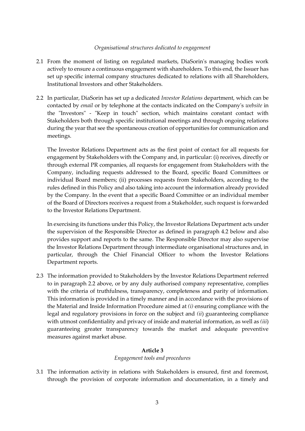#### *Organisational structures dedicated to engagement*

- 2.1 From the moment of listing on regulated markets, DiaSorin's managing bodies work actively to ensure a continuous engagement with shareholders. To this end, the Issuer has set up specific internal company structures dedicated to relations with all Shareholders, Institutional Investors and other Stakeholders.
- 2.2 In particular, DiaSorin has set up a dedicated *Investor Relations* department, which can be contacted by *email* or by telephone at the contacts indicated on the Company's *website* in the "Investors" - "Keep in touch" section, which maintains constant contact with Stakeholders both through specific institutional meetings and through ongoing relations during the year that see the spontaneous creation of opportunities for communication and meetings.

The Investor Relations Department acts as the first point of contact for all requests for engagement by Stakeholders with the Company and, in particular: (i) receives, directly or through external PR companies, all requests for engagement from Stakeholders with the Company, including requests addressed to the Board, specific Board Committees or individual Board members; (ii) processes requests from Stakeholders, according to the rules defined in this Policy and also taking into account the information already provided by the Company. In the event that a specific Board Committee or an individual member of the Board of Directors receives a request from a Stakeholder, such request is forwarded to the Investor Relations Department.

In exercising its functions under this Policy, the Investor Relations Department acts under the supervision of the Responsible Director as defined in paragraph 4.2 below and also provides support and reports to the same. The Responsible Director may also supervise the Investor Relations Department through intermediate organisational structures and, in particular, through the Chief Financial Officer to whom the Investor Relations Department reports.

2.3 The information provided to Stakeholders by the Investor Relations Department referred to in paragraph 2.2 above, or by any duly authorised company representative, complies with the criteria of truthfulness, transparency, completeness and parity of information. This information is provided in a timely manner and in accordance with the provisions of the Material and Inside Information Procedure aimed at *(i)* ensuring compliance with the legal and regulatory provisions in force on the subject and *(ii*) guaranteeing compliance with utmost confidentiality and privacy of inside and material information, as well as *(iii*) guaranteeing greater transparency towards the market and adequate preventive measures against market abuse.

## **Article 3**

*Engagement tools and procedures*

3.1 The information activity in relations with Stakeholders is ensured, first and foremost, through the provision of corporate information and documentation, in a timely and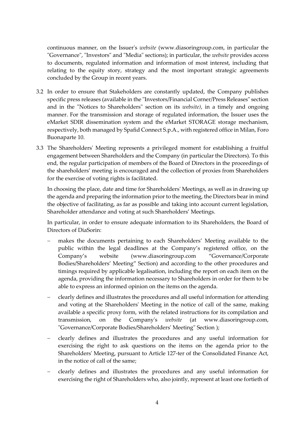continuous manner, on the Issuer's *website* (www.diasoringroup.com, in particular the "Governance", "Investors" and "Media" sections); in particular, the *website* provides access to documents, regulated information and information of most interest, including that relating to the equity story, strategy and the most important strategic agreements concluded by the Group in recent years.

- 3.2 In order to ensure that Stakeholders are constantly updated, the Company publishes specific press releases (available in the "Investors/Financial Corner/Press Releases" section and in the "Notices to Shareholders" section on its *website)*, in a timely and ongoing manner. For the transmission and storage of regulated information, the Issuer uses the eMarket SDIR dissemination system and the eMarket STORAGE storage mechanism, respectively, both managed by Spafid Connect S.p.A., with registered office in Milan, Foro Buonaparte 10.
- 3.3 The Shareholders' Meeting represents a privileged moment for establishing a fruitful engagement between Shareholders and the Company (in particular the Directors). To this end, the regular participation of members of the Board of Directors in the proceedings of the shareholders' meeting is encouraged and the collection of proxies from Shareholders for the exercise of voting rights is facilitated.

In choosing the place, date and time for Shareholders' Meetings, as well as in drawing up the agenda and preparing the information prior to the meeting, the Directors bear in mind the objective of facilitating, as far as possible and taking into account current legislation, Shareholder attendance and voting at such Shareholders' Meetings.

In particular, in order to ensure adequate information to its Shareholders, the Board of Directors of DiaSorin:

- makes the documents pertaining to each Shareholders' Meeting available to the public within the legal deadlines at the Company's registered office, on the Company's website (www.diasoringroup.com "Governance/Corporate Bodies/Shareholders' Meeting" Section) and according to the other procedures and timings required by applicable legalisation, including the report on each item on the agenda, providing the information necessary to Shareholders in order for them to be able to express an informed opinion on the items on the agenda.
- clearly defines and illustrates the procedures and all useful information for attending and voting at the Shareholders' Meeting in the notice of call of the same, making available a specific proxy form, with the related instructions for its compilation and transmission, on the Company's *website* (at www.diasoringroup.com, "Governance/Corporate Bodies/Shareholders' Meeting" Section );
- clearly defines and illustrates the procedures and any useful information for exercising the right to ask questions on the items on the agenda prior to the Shareholders' Meeting, pursuant to Article 127-ter of the Consolidated Finance Act, in the notice of call of the same;
- clearly defines and illustrates the procedures and any useful information for exercising the right of Shareholders who, also jointly, represent at least one fortieth of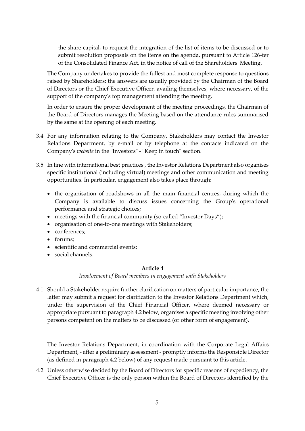the share capital, to request the integration of the list of items to be discussed or to submit resolution proposals on the items on the agenda, pursuant to Article 126-ter of the Consolidated Finance Act, in the notice of call of the Shareholders' Meeting.

The Company undertakes to provide the fullest and most complete response to questions raised by Shareholders; the answers are usually provided by the Chairman of the Board of Directors or the Chief Executive Officer, availing themselves, where necessary, of the support of the company's top management attending the meeting.

In order to ensure the proper development of the meeting proceedings, the Chairman of the Board of Directors manages the Meeting based on the attendance rules summarised by the same at the opening of each meeting.

- 3.4 For any information relating to the Company, Stakeholders may contact the Investor Relations Department, by e-mail or by telephone at the contacts indicated on the Company's *website* in the "Investors" - "Keep in touch" section.
- 3.5 In line with international best practices , the Investor Relations Department also organises specific institutional (including virtual) meetings and other communication and meeting opportunities. In particular, engagement also takes place through:
	- the organisation of roadshows in all the main financial centres, during which the Company is available to discuss issues concerning the Group's operational performance and strategic choices;
	- meetings with the financial community (so-called "Investor Days");
	- organisation of one-to-one meetings with Stakeholders;
	- conferences;
	- forums:
	- scientific and commercial events;
	- social channels.

## **Article 4**

## *Involvement of Board members in engagement with Stakeholders*

4.1 Should a Stakeholder require further clarification on matters of particular importance, the latter may submit a request for clarification to the Investor Relations Department which, under the supervision of the Chief Financial Officer, where deemed necessary or appropriate pursuant to paragraph 4.2 below, organises a specific meeting involving other persons competent on the matters to be discussed (or other form of engagement).

The Investor Relations Department, in coordination with the Corporate Legal Affairs Department, - after a preliminary assessment - promptly informs the Responsible Director (as defined in paragraph 4.2 below) of any request made pursuant to this article.

4.2 Unless otherwise decided by the Board of Directors for specific reasons of expediency, the Chief Executive Officer is the only person within the Board of Directors identified by the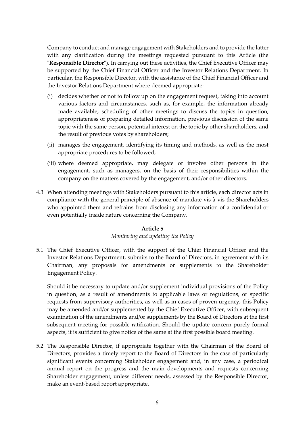Company to conduct and manage engagement with Stakeholders and to provide the latter with any clarification during the meetings requested pursuant to this Article (the "**Responsible Director**"). In carrying out these activities, the Chief Executive Officer may be supported by the Chief Financial Officer and the Investor Relations Department. In particular, the Responsible Director, with the assistance of the Chief Financial Officer and the Investor Relations Department where deemed appropriate:

- (i) decides whether or not to follow up on the engagement request, taking into account various factors and circumstances, such as, for example, the information already made available, scheduling of other meetings to discuss the topics in question, appropriateness of preparing detailed information, previous discussion of the same topic with the same person, potential interest on the topic by other shareholders, and the result of previous votes by shareholders;
- (ii) manages the engagement, identifying its timing and methods, as well as the most appropriate procedures to be followed;
- (iii) where deemed appropriate, may delegate or involve other persons in the engagement, such as managers, on the basis of their responsibilities within the company on the matters covered by the engagement, and/or other directors.
- 4.3 When attending meetings with Stakeholders pursuant to this article, each director acts in compliance with the general principle of absence of mandate vis-à-vis the Shareholders who appointed them and refrains from disclosing any information of a confidential or even potentially inside nature concerning the Company.

#### **Article 5**

## *Monitoring and updating the Policy*

5.1 The Chief Executive Officer, with the support of the Chief Financial Officer and the Investor Relations Department, submits to the Board of Directors, in agreement with its Chairman, any proposals for amendments or supplements to the Shareholder Engagement Policy.

Should it be necessary to update and/or supplement individual provisions of the Policy in question, as a result of amendments to applicable laws or regulations, or specific requests from supervisory authorities, as well as in cases of proven urgency, this Policy may be amended and/or supplemented by the Chief Executive Officer, with subsequent examination of the amendments and/or supplements by the Board of Directors at the first subsequent meeting for possible ratification. Should the update concern purely formal aspects, it is sufficient to give notice of the same at the first possible board meeting.

5.2 The Responsible Director, if appropriate together with the Chairman of the Board of Directors, provides a timely report to the Board of Directors in the case of particularly significant events concerning Stakeholder engagement and, in any case, a periodical annual report on the progress and the main developments and requests concerning Shareholder engagement, unless different needs, assessed by the Responsible Director, make an event-based report appropriate.